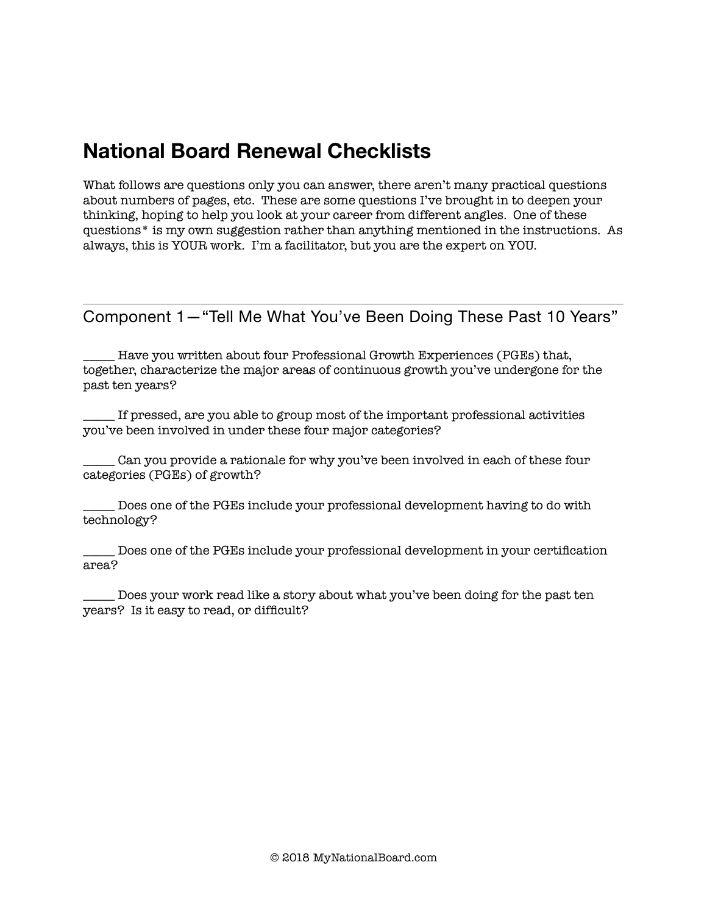## **National Board Renewal Checklists**

What follows are questions only you can answer, there aren't many practical questions about numbers of pages, etc. These are some questions I've brought in to deepen your thinking, hoping to help you look at your career from different angles. One of these questions\* is my own suggestion rather than anything mentioned in the instructions. As always, this is YOUR work. I'm a facilitator, but you are the expert on YOU.

Component 1—"Tell Me What You've Been Doing These Past 10 Years"

Have you written about four Professional Growth Experiences (PGEs) that, together, characterize the major areas of continuous growth you've undergone for the past ten years?

\_\_\_\_\_ If pressed, are you able to group most of the important professional activities you've been involved in under these four major categories?

\_\_\_\_\_ Can you provide a rationale for why you've been involved in each of these four categories (PGEs) of growth?

\_\_\_\_\_ Does one of the PGEs include your professional development having to do with technology?

\_\_\_\_\_ Does one of the PGEs include your professional development in your certification area?

\_\_\_\_\_ Does your work read like a story about what you've been doing for the past ten years? Is it easy to read, or difficult?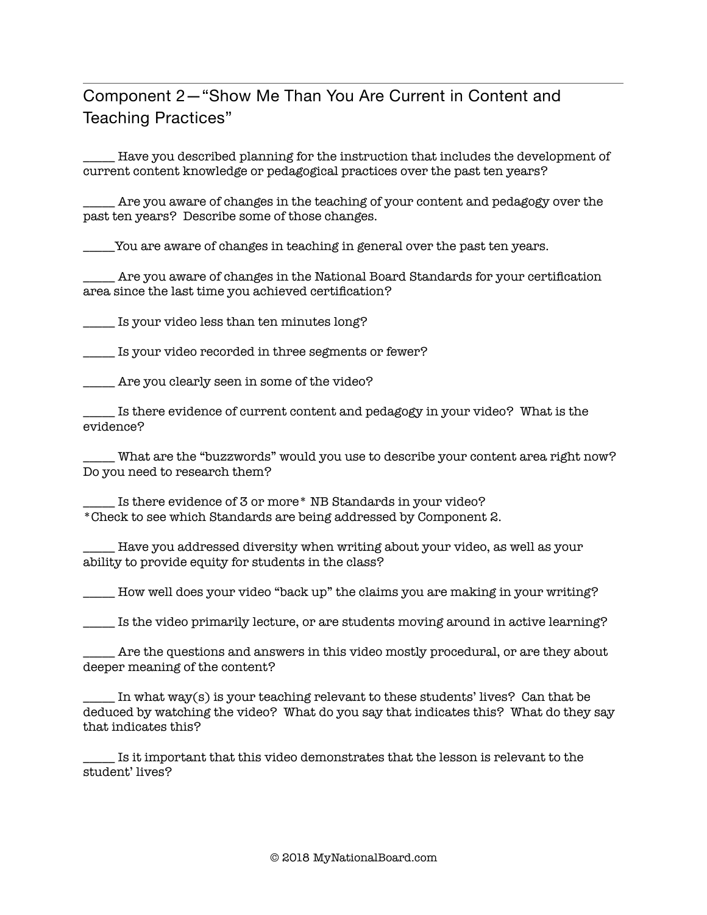## Component 2—"Show Me Than You Are Current in Content and Teaching Practices"

\_\_\_\_\_ Have you described planning for the instruction that includes the development of current content knowledge or pedagogical practices over the past ten years?

\_\_\_\_\_ Are you aware of changes in the teaching of your content and pedagogy over the past ten years? Describe some of those changes.

You are aware of changes in teaching in general over the past ten years.

\_\_\_\_\_ Are you aware of changes in the National Board Standards for your certification area since the last time you achieved certification?

\_\_\_\_\_ Is your video less than ten minutes long?

\_\_\_\_\_ Is your video recorded in three segments or fewer?

\_\_\_\_\_ Are you clearly seen in some of the video?

\_\_\_\_\_ Is there evidence of current content and pedagogy in your video? What is the evidence?

\_\_\_\_\_ What are the "buzzwords" would you use to describe your content area right now? Do you need to research them?

\_ Is there evidence of 3 or more\* NB Standards in your video? \*Check to see which Standards are being addressed by Component 2.

Have you addressed diversity when writing about your video, as well as your ability to provide equity for students in the class?

\_\_\_\_\_ How well does your video "back up" the claims you are making in your writing?

\_\_\_\_\_ Is the video primarily lecture, or are students moving around in active learning?

Are the questions and answers in this video mostly procedural, or are they about deeper meaning of the content?

In what way(s) is your teaching relevant to these students' lives? Can that be deduced by watching the video? What do you say that indicates this? What do they say that indicates this?

\_\_\_\_\_ Is it important that this video demonstrates that the lesson is relevant to the student' lives?